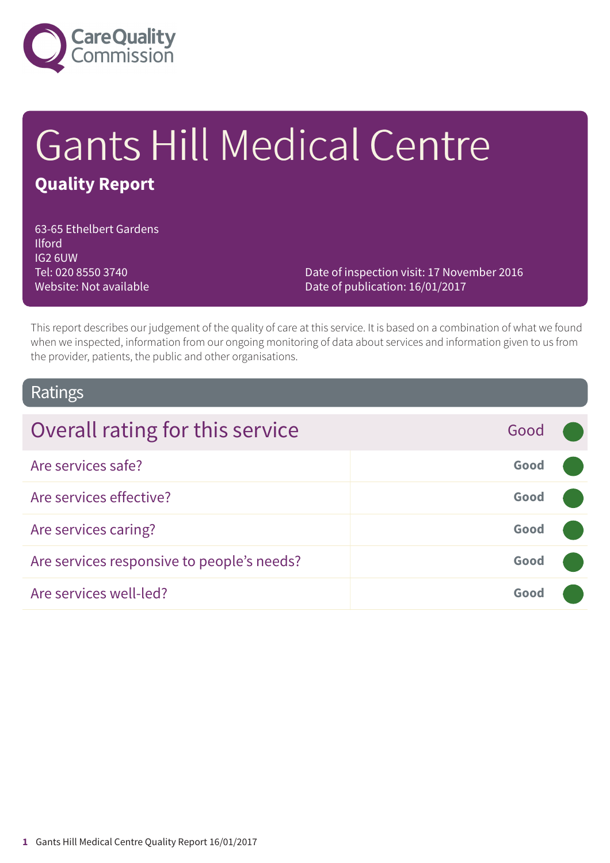

# Gants Hill Medical Centre **Quality Report**

63-65 Ethelbert Gardens Ilford IG2 6UW Tel: 020 8550 3740 Website: Not available

Date of inspection visit: 17 November 2016 Date of publication: 16/01/2017

This report describes our judgement of the quality of care at this service. It is based on a combination of what we found when we inspected, information from our ongoing monitoring of data about services and information given to us from the provider, patients, the public and other organisations.

### Ratings

| Overall rating for this service            | Good |  |
|--------------------------------------------|------|--|
| Are services safe?                         | Good |  |
| Are services effective?                    | Good |  |
| Are services caring?                       | Good |  |
| Are services responsive to people's needs? | Good |  |
| Are services well-led?                     | Good |  |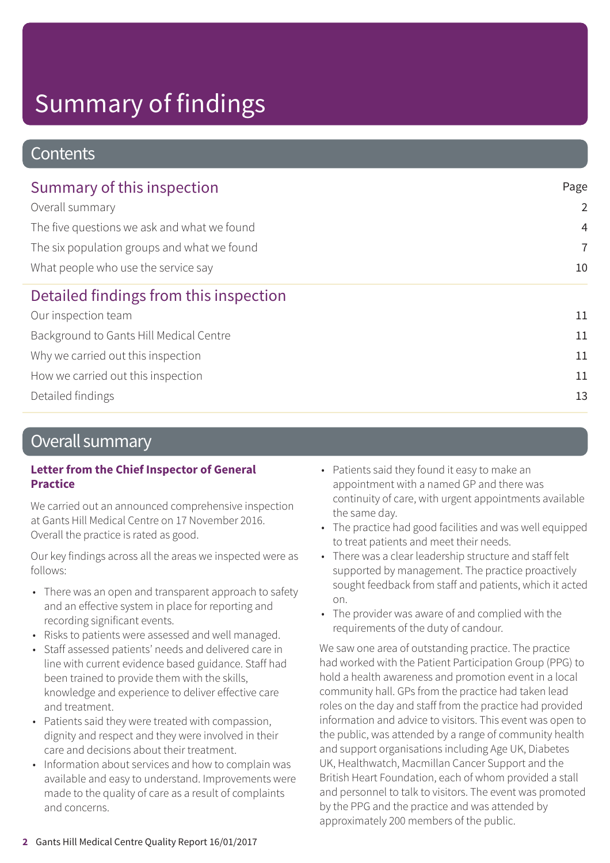### **Contents**

| Summary of this inspection                  | Page           |
|---------------------------------------------|----------------|
| Overall summary                             | $\overline{2}$ |
| The five questions we ask and what we found | $\overline{4}$ |
| The six population groups and what we found | $\overline{7}$ |
| What people who use the service say         | 10             |
| Detailed findings from this inspection      |                |
| Our inspection team                         | 11             |
| Background to Gants Hill Medical Centre     | 11             |
| Why we carried out this inspection          | 11             |
| How we carried out this inspection          | 11             |
| Detailed findings                           | 13             |
|                                             |                |

### Overall summary

#### **Letter from the Chief Inspector of General Practice**

We carried out an announced comprehensive inspection at Gants Hill Medical Centre on 17 November 2016. Overall the practice is rated as good.

Our key findings across all the areas we inspected were as follows:

- There was an open and transparent approach to safety and an effective system in place for reporting and recording significant events.
- Risks to patients were assessed and well managed.
- Staff assessed patients' needs and delivered care in line with current evidence based guidance. Staff had been trained to provide them with the skills, knowledge and experience to deliver effective care and treatment.
- Patients said they were treated with compassion, dignity and respect and they were involved in their care and decisions about their treatment.
- Information about services and how to complain was available and easy to understand. Improvements were made to the quality of care as a result of complaints and concerns.
- Patients said they found it easy to make an appointment with a named GP and there was continuity of care, with urgent appointments available the same day.
- The practice had good facilities and was well equipped to treat patients and meet their needs.
- There was a clear leadership structure and staff felt supported by management. The practice proactively sought feedback from staff and patients, which it acted on.
- The provider was aware of and complied with the requirements of the duty of candour.

We saw one area of outstanding practice. The practice had worked with the Patient Participation Group (PPG) to hold a health awareness and promotion event in a local community hall. GPs from the practice had taken lead roles on the day and staff from the practice had provided information and advice to visitors. This event was open to the public, was attended by a range of community health and support organisations including Age UK, Diabetes UK, Healthwatch, Macmillan Cancer Support and the British Heart Foundation, each of whom provided a stall and personnel to talk to visitors. The event was promoted by the PPG and the practice and was attended by approximately 200 members of the public.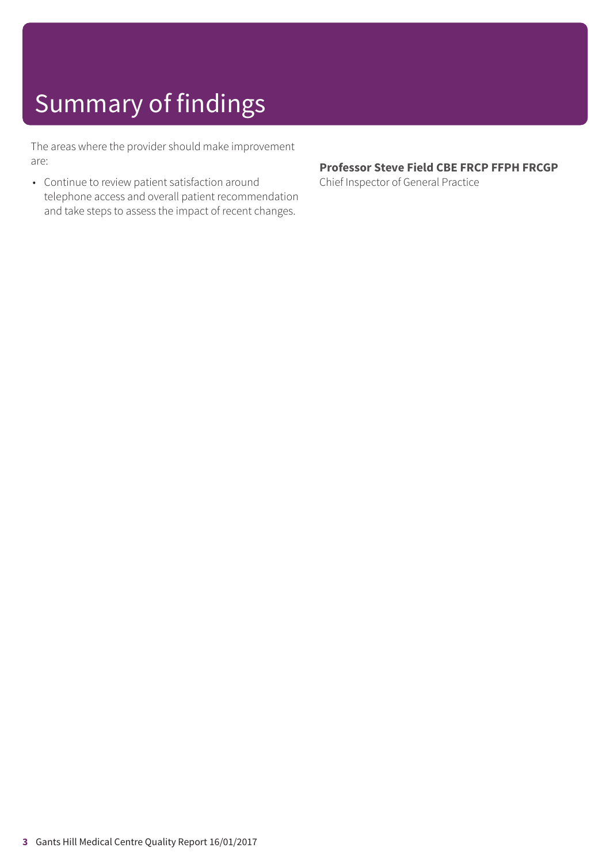The areas where the provider should make improvement are:

• Continue to review patient satisfaction around telephone access and overall patient recommendation and take steps to assess the impact of recent changes.

#### **Professor Steve Field CBE FRCP FFPH FRCGP**

Chief Inspector of General Practice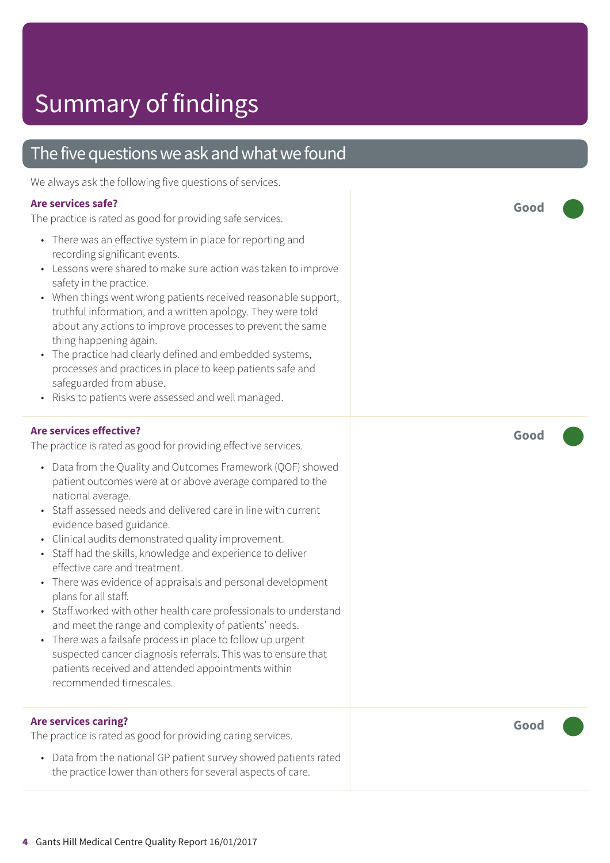### The five questions we ask and what we found

We always ask the following five questions of services.

#### **Are services safe?**

The practice is rated as good for providing safe services.

- There was an effective system in place for reporting and recording significant events.
- Lessons were shared to make sure action was taken to improve safety in the practice.
- When things went wrong patients received reasonable support, truthful information, and a written apology. They were told about any actions to improve processes to prevent the same thing happening again.
- The practice had clearly defined and embedded systems, processes and practices in place to keep patients safe and safeguarded from abuse.
- Risks to patients were assessed and well managed.

#### **Are services effective?**

The practice is rated as good for providing effective services.

- Data from the Quality and Outcomes Framework (QOF) showed patient outcomes were at or above average compared to the national average.
- Staff assessed needs and delivered care in line with current evidence based guidance.
- Clinical audits demonstrated quality improvement.
- Staff had the skills, knowledge and experience to deliver effective care and treatment.
- There was evidence of appraisals and personal development plans for all staff.
- Staff worked with other health care professionals to understand and meet the range and complexity of patients' needs.
- There was a failsafe process in place to follow up urgent suspected cancer diagnosis referrals. This was to ensure that patients received and attended appointments within recommended timescales.

#### **Are services caring?**

The practice is rated as good for providing caring services.

• Data from the national GP patient survey showed patients rated the practice lower than others for several aspects of care.

**Good –––**

**Good –––**

**Good –––**

**4** Gants Hill Medical Centre Quality Report 16/01/2017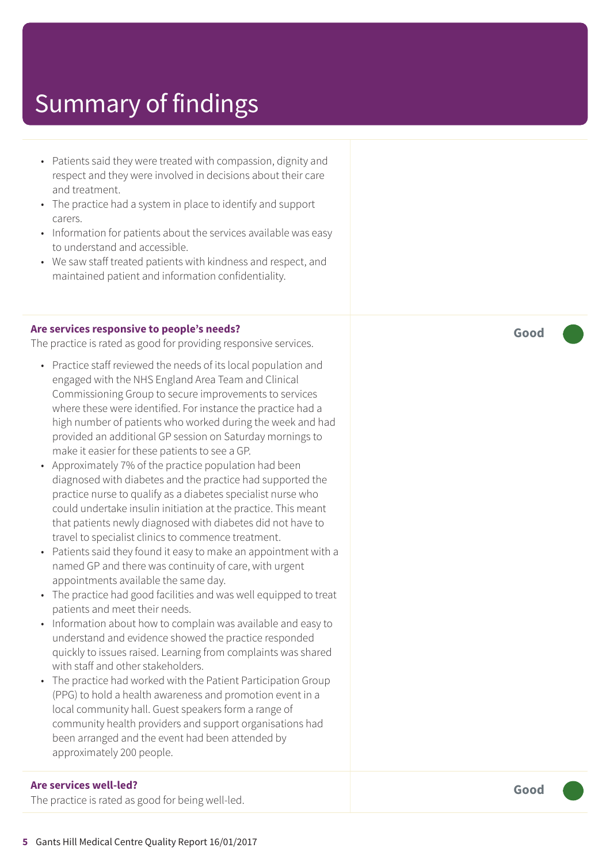- Patients said they were treated with compassion, dignity and respect and they were involved in decisions about their care and treatment.
- The practice had a system in place to identify and support carers.
- Information for patients about the services available was easy to understand and accessible.
- We saw staff treated patients with kindness and respect, and maintained patient and information confidentiality.

#### **Are services responsive to people's needs?**

The practice is rated as good for providing responsive services.

- Practice staff reviewed the needs of its local population and engaged with the NHS England Area Team and Clinical Commissioning Group to secure improvements to services where these were identified. For instance the practice had a high number of patients who worked during the week and had provided an additional GP session on Saturday mornings to make it easier for these patients to see a GP.
- Approximately 7% of the practice population had been diagnosed with diabetes and the practice had supported the practice nurse to qualify as a diabetes specialist nurse who could undertake insulin initiation at the practice. This meant that patients newly diagnosed with diabetes did not have to travel to specialist clinics to commence treatment.
- Patients said they found it easy to make an appointment with a named GP and there was continuity of care, with urgent appointments available the same day.
- The practice had good facilities and was well equipped to treat patients and meet their needs.
- Information about how to complain was available and easy to understand and evidence showed the practice responded quickly to issues raised. Learning from complaints was shared with staff and other stakeholders.
- The practice had worked with the Patient Participation Group (PPG) to hold a health awareness and promotion event in a local community hall. Guest speakers form a range of community health providers and support organisations had been arranged and the event had been attended by approximately 200 people.

#### **Are services well-led?**

The practice is rated as good for being well-led.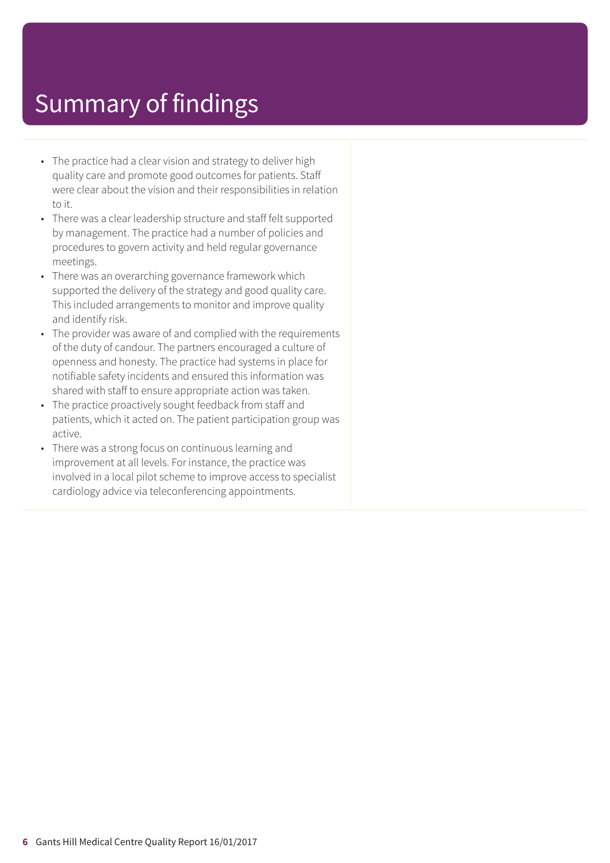- The practice had a clear vision and strategy to deliver high quality care and promote good outcomes for patients. Staff were clear about the vision and their responsibilities in relation to it.
- There was a clear leadership structure and staff felt supported by management. The practice had a number of policies and procedures to govern activity and held regular governance meetings.
- There was an overarching governance framework which supported the delivery of the strategy and good quality care. This included arrangements to monitor and improve quality and identify risk.
- The provider was aware of and complied with the requirements of the duty of candour. The partners encouraged a culture of openness and honesty. The practice had systems in place for notifiable safety incidents and ensured this information was shared with staff to ensure appropriate action was taken.
- The practice proactively sought feedback from staff and patients, which it acted on. The patient participation group was active.
- There was a strong focus on continuous learning and improvement at all levels. For instance, the practice was involved in a local pilot scheme to improve access to specialist cardiology advice via teleconferencing appointments.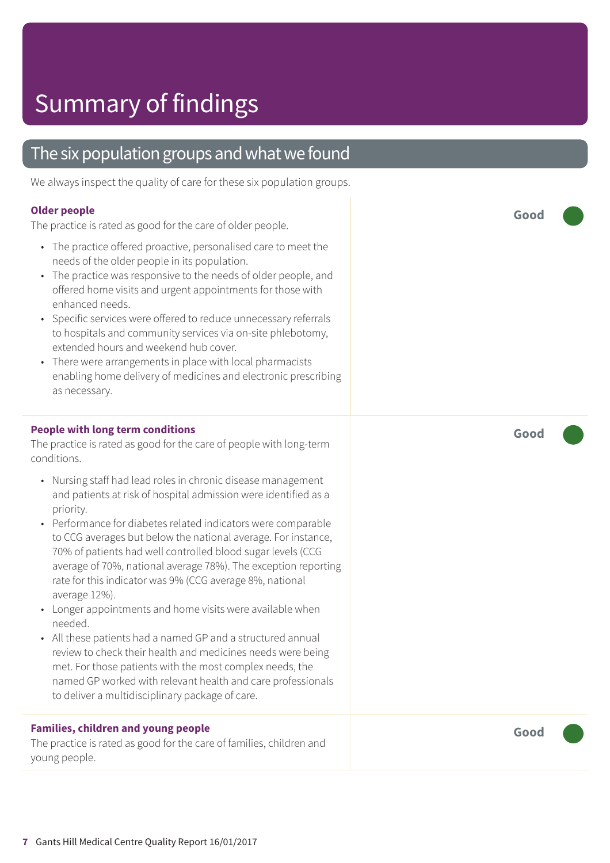### The six population groups and what we found

We always inspect the quality of care for these six population groups.

#### **Older people**

The practice is rated as good for the care of older people.

- The practice offered proactive, personalised care to meet the needs of the older people in its population.
- The practice was responsive to the needs of older people, and offered home visits and urgent appointments for those with enhanced needs.
- Specific services were offered to reduce unnecessary referrals to hospitals and community services via on-site phlebotomy, extended hours and weekend hub cover.
- There were arrangements in place with local pharmacists enabling home delivery of medicines and electronic prescribing as necessary.

#### **People with long term conditions**

The practice is rated as good for the care of people with long-term conditions.

- Nursing staff had lead roles in chronic disease management and patients at risk of hospital admission were identified as a priority.
- Performance for diabetes related indicators were comparable to CCG averages but below the national average. For instance, 70% of patients had well controlled blood sugar levels (CCG average of 70%, national average 78%). The exception reporting rate for this indicator was 9% (CCG average 8%, national average 12%).
- Longer appointments and home visits were available when needed.
- All these patients had a named GP and a structured annual review to check their health and medicines needs were being met. For those patients with the most complex needs, the named GP worked with relevant health and care professionals to deliver a multidisciplinary package of care.

#### **Families, children and young people**

The practice is rated as good for the care of families, children and young people.

**Good –––**

**Good –––**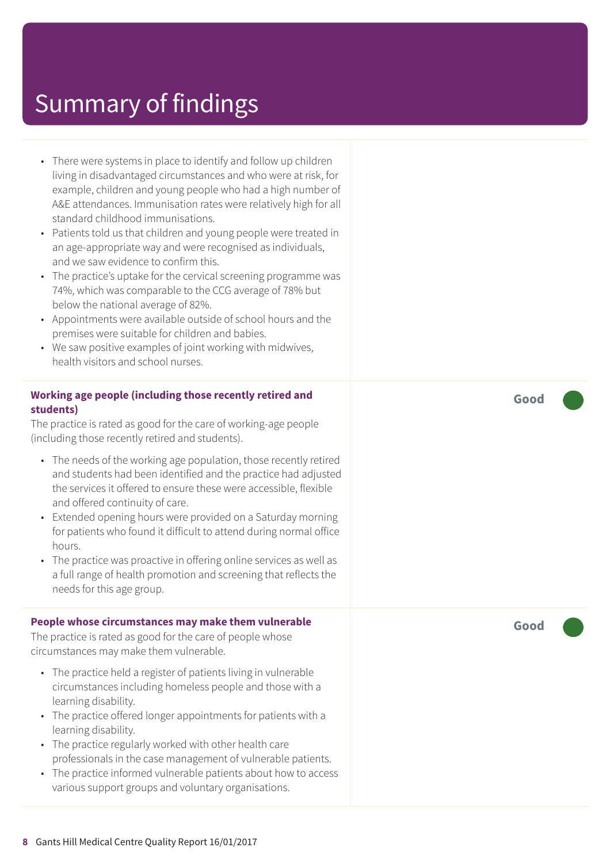- There were systems in place to identify and follow up children living in disadvantaged circumstances and who were at risk, for example, children and young people who had a high number of A&E attendances. Immunisation rates were relatively high for all standard childhood immunisations.
- Patients told us that children and young people were treated in an age-appropriate way and were recognised as individuals, and we saw evidence to confirm this.
- The practice's uptake for the cervical screening programme was 74%, which was comparable to the CCG average of 78% but below the national average of 82%.
- Appointments were available outside of school hours and the premises were suitable for children and babies.
- We saw positive examples of joint working with midwives, health visitors and school nurses.

#### **Working age people (including those recently retired and students)**

The practice is rated as good for the care of working-age people (including those recently retired and students).

- The needs of the working age population, those recently retired and students had been identified and the practice had adjusted the services it offered to ensure these were accessible, flexible and offered continuity of care.
- Extended opening hours were provided on a Saturday morning for patients who found it difficult to attend during normal office hours.
- The practice was proactive in offering online services as well as a full range of health promotion and screening that reflects the needs for this age group.

#### **People whose circumstances may make them vulnerable**

The practice is rated as good for the care of people whose circumstances may make them vulnerable.

- The practice held a register of patients living in vulnerable circumstances including homeless people and those with a learning disability.
- The practice offered longer appointments for patients with a learning disability.
- The practice regularly worked with other health care professionals in the case management of vulnerable patients.
- The practice informed vulnerable patients about how to access various support groups and voluntary organisations.

**Good –––**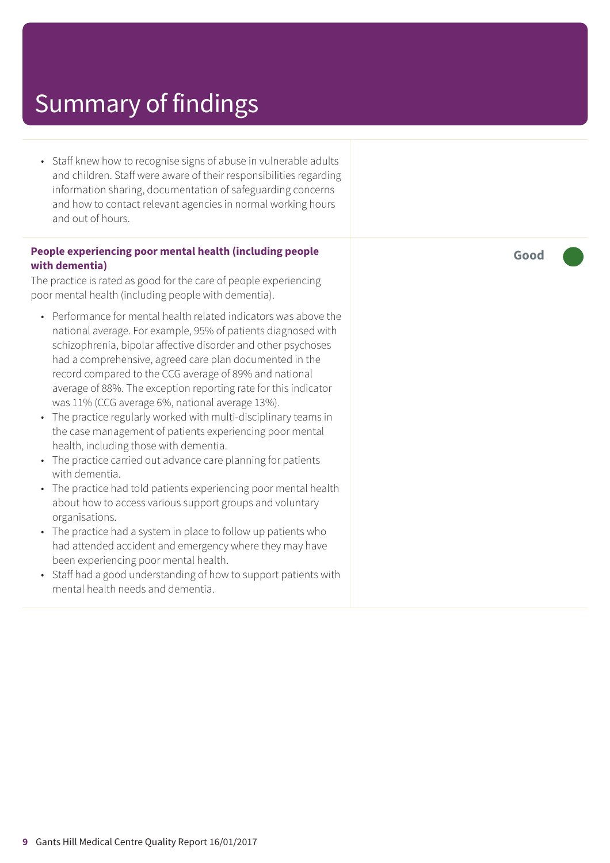• Staff knew how to recognise signs of abuse in vulnerable adults and children. Staff were aware of their responsibilities regarding information sharing, documentation of safeguarding concerns and how to contact relevant agencies in normal working hours and out of hours.

#### **People experiencing poor mental health (including people with dementia)**

The practice is rated as good for the care of people experiencing poor mental health (including people with dementia).

- Performance for mental health related indicators was above the national average. For example, 95% of patients diagnosed with schizophrenia, bipolar affective disorder and other psychoses had a comprehensive, agreed care plan documented in the record compared to the CCG average of 89% and national average of 88%. The exception reporting rate for this indicator was 11% (CCG average 6%, national average 13%).
- The practice regularly worked with multi-disciplinary teams in the case management of patients experiencing poor mental health, including those with dementia.
- The practice carried out advance care planning for patients with dementia.
- The practice had told patients experiencing poor mental health about how to access various support groups and voluntary organisations.
- The practice had a system in place to follow up patients who had attended accident and emergency where they may have been experiencing poor mental health.
- Staff had a good understanding of how to support patients with mental health needs and dementia.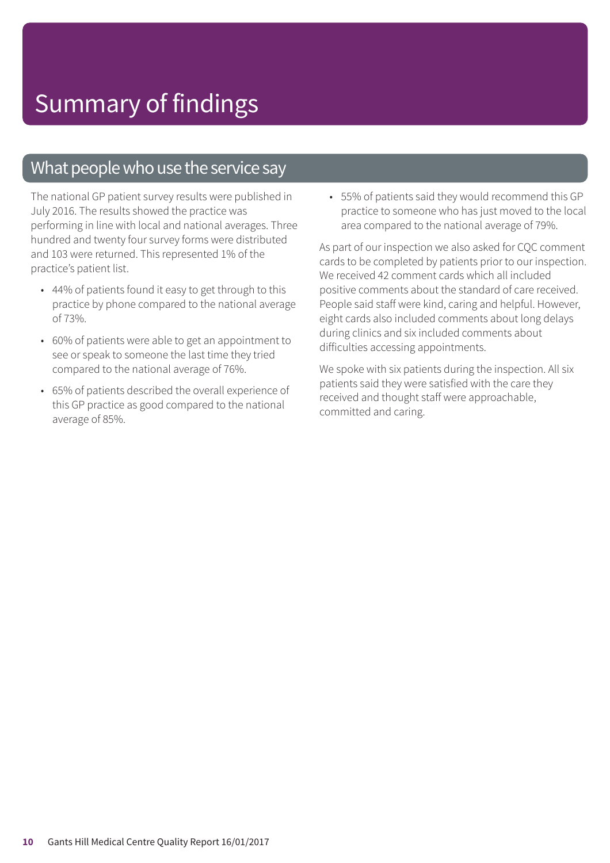### What people who use the service say

The national GP patient survey results were published in July 2016. The results showed the practice was performing in line with local and national averages. Three hundred and twenty four survey forms were distributed and 103 were returned. This represented 1% of the practice's patient list.

- 44% of patients found it easy to get through to this practice by phone compared to the national average of 73%.
- 60% of patients were able to get an appointment to see or speak to someone the last time they tried compared to the national average of 76%.
- 65% of patients described the overall experience of this GP practice as good compared to the national average of 85%.

• 55% of patients said they would recommend this GP practice to someone who has just moved to the local area compared to the national average of 79%.

As part of our inspection we also asked for CQC comment cards to be completed by patients prior to our inspection. We received 42 comment cards which all included positive comments about the standard of care received. People said staff were kind, caring and helpful. However, eight cards also included comments about long delays during clinics and six included comments about difficulties accessing appointments.

We spoke with six patients during the inspection. All six patients said they were satisfied with the care they received and thought staff were approachable, committed and caring.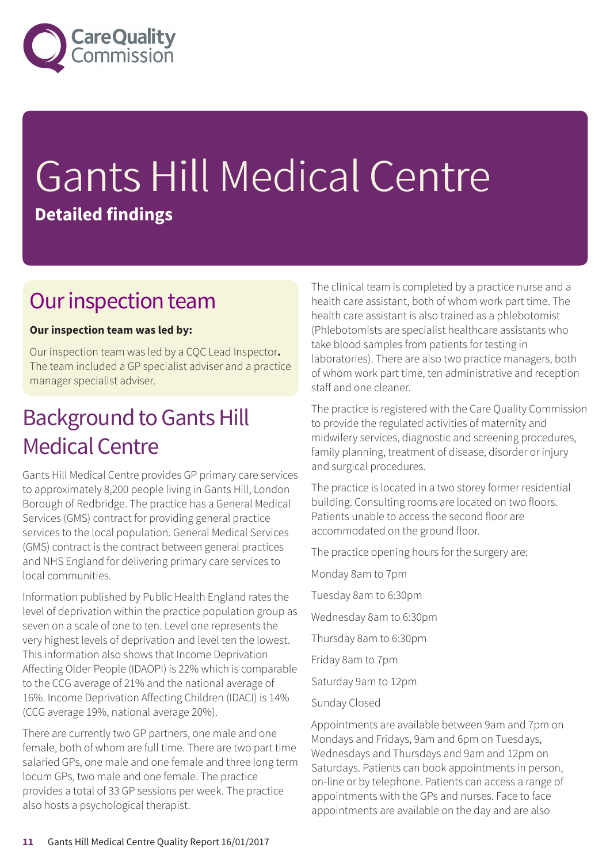

# Gants Hill Medical Centre **Detailed findings**

### Our inspection team

#### **Our inspection team was led by:**

Our inspection team was led by a CQC Lead Inspector**.** The team included a GP specialist adviser and a practice manager specialist adviser.

## **Background to Gants Hill Medical Centre**

Gants Hill Medical Centre provides GP primary care services to approximately 8,200 people living in Gants Hill, London Borough of Redbridge. The practice has a General Medical Services (GMS) contract for providing general practice services to the local population. General Medical Services (GMS) contract is the contract between general practices and NHS England for delivering primary care services to local communities.

Information published by Public Health England rates the level of deprivation within the practice population group as seven on a scale of one to ten. Level one represents the very highest levels of deprivation and level ten the lowest. This information also shows that Income Deprivation Affecting Older People (IDAOPI) is 22% which is comparable to the CCG average of 21% and the national average of 16%. Income Deprivation Affecting Children (IDACI) is 14% (CCG average 19%, national average 20%).

There are currently two GP partners, one male and one female, both of whom are full time. There are two part time salaried GPs, one male and one female and three long term locum GPs, two male and one female. The practice provides a total of 33 GP sessions per week. The practice also hosts a psychological therapist.

The clinical team is completed by a practice nurse and a health care assistant, both of whom work part time. The health care assistant is also trained as a phlebotomist (Phlebotomists are specialist healthcare assistants who take blood samples from patients for testing in laboratories). There are also two practice managers, both of whom work part time, ten administrative and reception staff and one cleaner.

The practice is registered with the Care Quality Commission to provide the regulated activities of maternity and midwifery services, diagnostic and screening procedures, family planning, treatment of disease, disorder or injury and surgical procedures.

The practice is located in a two storey former residential building. Consulting rooms are located on two floors. Patients unable to access the second floor are accommodated on the ground floor.

The practice opening hours for the surgery are:

Monday 8am to 7pm

Tuesday 8am to 6:30pm

Wednesday 8am to 6:30pm

Thursday 8am to 6:30pm

Friday 8am to 7pm

Saturday 9am to 12pm

Sunday Closed

Appointments are available between 9am and 7pm on Mondays and Fridays, 9am and 6pm on Tuesdays, Wednesdays and Thursdays and 9am and 12pm on Saturdays. Patients can book appointments in person, on-line or by telephone. Patients can access a range of appointments with the GPs and nurses. Face to face appointments are available on the day and are also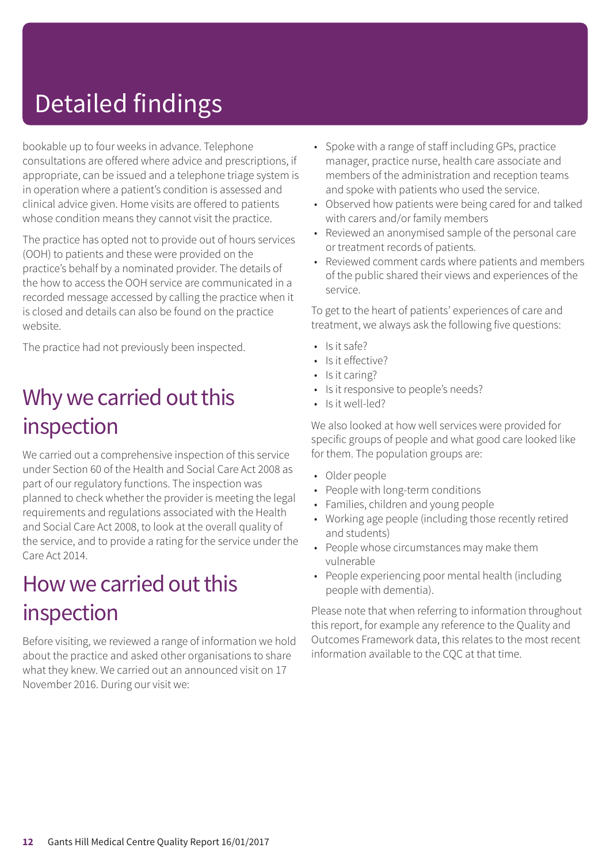# Detailed findings

bookable up to four weeks in advance. Telephone consultations are offered where advice and prescriptions, if appropriate, can be issued and a telephone triage system is in operation where a patient's condition is assessed and clinical advice given. Home visits are offered to patients whose condition means they cannot visit the practice.

The practice has opted not to provide out of hours services (OOH) to patients and these were provided on the practice's behalf by a nominated provider. The details of the how to access the OOH service are communicated in a recorded message accessed by calling the practice when it is closed and details can also be found on the practice website.

The practice had not previously been inspected.

### Why we carried out this inspection

We carried out a comprehensive inspection of this service under Section 60 of the Health and Social Care Act 2008 as part of our regulatory functions. The inspection was planned to check whether the provider is meeting the legal requirements and regulations associated with the Health and Social Care Act 2008, to look at the overall quality of the service, and to provide a rating for the service under the Care Act 2014.

### How we carried out this inspection

Before visiting, we reviewed a range of information we hold about the practice and asked other organisations to share what they knew. We carried out an announced visit on 17 November 2016. During our visit we:

- Spoke with a range of staff including GPs, practice manager, practice nurse, health care associate and members of the administration and reception teams and spoke with patients who used the service.
- Observed how patients were being cared for and talked with carers and/or family members
- Reviewed an anonymised sample of the personal care or treatment records of patients.
- Reviewed comment cards where patients and members of the public shared their views and experiences of the service.

To get to the heart of patients' experiences of care and treatment, we always ask the following five questions:

- Is it safe?
- Is it effective?
- Is it caring?
- Is it responsive to people's needs?
- Is it well-led?

We also looked at how well services were provided for specific groups of people and what good care looked like for them. The population groups are:

- Older people
- People with long-term conditions
- Families, children and young people
- Working age people (including those recently retired and students)
- People whose circumstances may make them vulnerable
- People experiencing poor mental health (including people with dementia).

Please note that when referring to information throughout this report, for example any reference to the Quality and Outcomes Framework data, this relates to the most recent information available to the CQC at that time.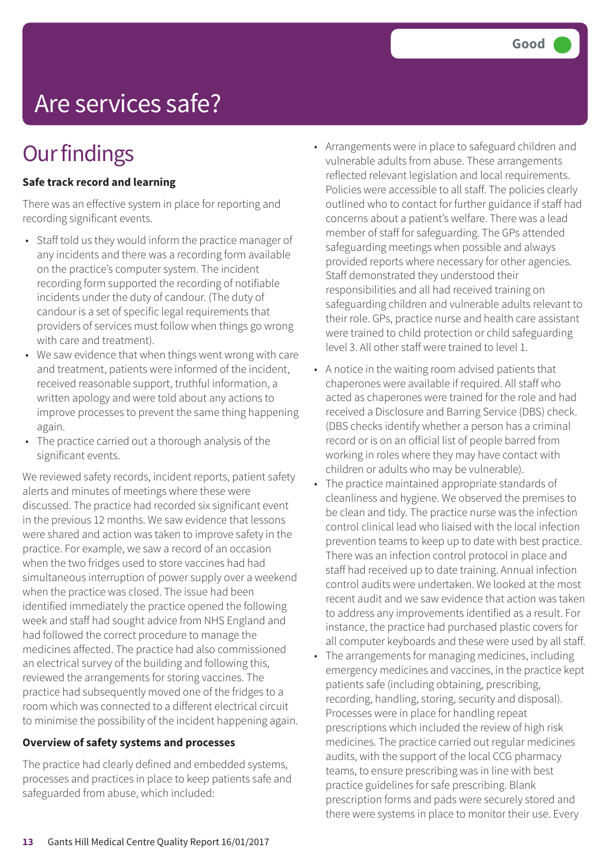# Are services safe?

# **Our findings**

#### **Safe track record and learning**

There was an effective system in place for reporting and recording significant events.

- Staff told us they would inform the practice manager of any incidents and there was a recording form available on the practice's computer system. The incident recording form supported the recording of notifiable incidents under the duty of candour. (The duty of candour is a set of specific legal requirements that providers of services must follow when things go wrong with care and treatment).
- We saw evidence that when things went wrong with care and treatment, patients were informed of the incident, received reasonable support, truthful information, a written apology and were told about any actions to improve processes to prevent the same thing happening again.
- The practice carried out a thorough analysis of the significant events.

We reviewed safety records, incident reports, patient safety alerts and minutes of meetings where these were discussed. The practice had recorded six significant event in the previous 12 months. We saw evidence that lessons were shared and action was taken to improve safety in the practice. For example, we saw a record of an occasion when the two fridges used to store vaccines had had simultaneous interruption of power supply over a weekend when the practice was closed. The issue had been identified immediately the practice opened the following week and staff had sought advice from NHS England and had followed the correct procedure to manage the medicines affected. The practice had also commissioned an electrical survey of the building and following this, reviewed the arrangements for storing vaccines. The practice had subsequently moved one of the fridges to a room which was connected to a different electrical circuit to minimise the possibility of the incident happening again.

#### **Overview of safety systems and processes**

The practice had clearly defined and embedded systems, processes and practices in place to keep patients safe and safeguarded from abuse, which included:

- Arrangements were in place to safeguard children and vulnerable adults from abuse. These arrangements reflected relevant legislation and local requirements. Policies were accessible to all staff. The policies clearly outlined who to contact for further guidance if staff had concerns about a patient's welfare. There was a lead member of staff for safeguarding. The GPs attended safeguarding meetings when possible and always provided reports where necessary for other agencies. Staff demonstrated they understood their responsibilities and all had received training on safeguarding children and vulnerable adults relevant to their role. GPs, practice nurse and health care assistant were trained to child protection or child safeguarding level 3. All other staff were trained to level 1.
- A notice in the waiting room advised patients that chaperones were available if required. All staff who acted as chaperones were trained for the role and had received a Disclosure and Barring Service (DBS) check. (DBS checks identify whether a person has a criminal record or is on an official list of people barred from working in roles where they may have contact with children or adults who may be vulnerable).
- The practice maintained appropriate standards of cleanliness and hygiene. We observed the premises to be clean and tidy. The practice nurse was the infection control clinical lead who liaised with the local infection prevention teams to keep up to date with best practice. There was an infection control protocol in place and staff had received up to date training. Annual infection control audits were undertaken. We looked at the most recent audit and we saw evidence that action was taken to address any improvements identified as a result. For instance, the practice had purchased plastic covers for all computer keyboards and these were used by all staff.
- The arrangements for managing medicines, including emergency medicines and vaccines, in the practice kept patients safe (including obtaining, prescribing, recording, handling, storing, security and disposal). Processes were in place for handling repeat prescriptions which included the review of high risk medicines. The practice carried out regular medicines audits, with the support of the local CCG pharmacy teams, to ensure prescribing was in line with best practice guidelines for safe prescribing. Blank prescription forms and pads were securely stored and there were systems in place to monitor their use. Every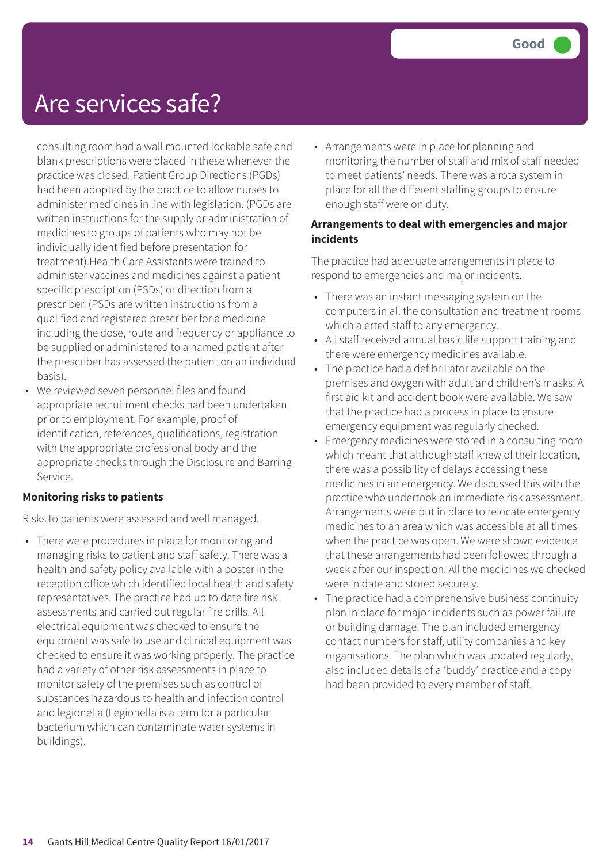## Are services safe?

consulting room had a wall mounted lockable safe and blank prescriptions were placed in these whenever the practice was closed. Patient Group Directions (PGDs) had been adopted by the practice to allow nurses to administer medicines in line with legislation. (PGDs are written instructions for the supply or administration of medicines to groups of patients who may not be individually identified before presentation for treatment).Health Care Assistants were trained to administer vaccines and medicines against a patient specific prescription (PSDs) or direction from a prescriber. (PSDs are written instructions from a qualified and registered prescriber for a medicine including the dose, route and frequency or appliance to be supplied or administered to a named patient after the prescriber has assessed the patient on an individual basis).

• We reviewed seven personnel files and found appropriate recruitment checks had been undertaken prior to employment. For example, proof of identification, references, qualifications, registration with the appropriate professional body and the appropriate checks through the Disclosure and Barring Service.

#### **Monitoring risks to patients**

Risks to patients were assessed and well managed.

• There were procedures in place for monitoring and managing risks to patient and staff safety. There was a health and safety policy available with a poster in the reception office which identified local health and safety representatives. The practice had up to date fire risk assessments and carried out regular fire drills. All electrical equipment was checked to ensure the equipment was safe to use and clinical equipment was checked to ensure it was working properly. The practice had a variety of other risk assessments in place to monitor safety of the premises such as control of substances hazardous to health and infection control and legionella (Legionella is a term for a particular bacterium which can contaminate water systems in buildings).

• Arrangements were in place for planning and monitoring the number of staff and mix of staff needed to meet patients' needs. There was a rota system in place for all the different staffing groups to ensure enough staff were on duty.

#### **Arrangements to deal with emergencies and major incidents**

The practice had adequate arrangements in place to respond to emergencies and major incidents.

- There was an instant messaging system on the computers in all the consultation and treatment rooms which alerted staff to any emergency.
- All staff received annual basic life support training and there were emergency medicines available.
- The practice had a defibrillator available on the premises and oxygen with adult and children's masks. A first aid kit and accident book were available. We saw that the practice had a process in place to ensure emergency equipment was regularly checked.
- Emergency medicines were stored in a consulting room which meant that although staff knew of their location, there was a possibility of delays accessing these medicines in an emergency. We discussed this with the practice who undertook an immediate risk assessment. Arrangements were put in place to relocate emergency medicines to an area which was accessible at all times when the practice was open. We were shown evidence that these arrangements had been followed through a week after our inspection. All the medicines we checked were in date and stored securely.
- The practice had a comprehensive business continuity plan in place for major incidents such as power failure or building damage. The plan included emergency contact numbers for staff, utility companies and key organisations. The plan which was updated regularly, also included details of a 'buddy' practice and a copy had been provided to every member of staff.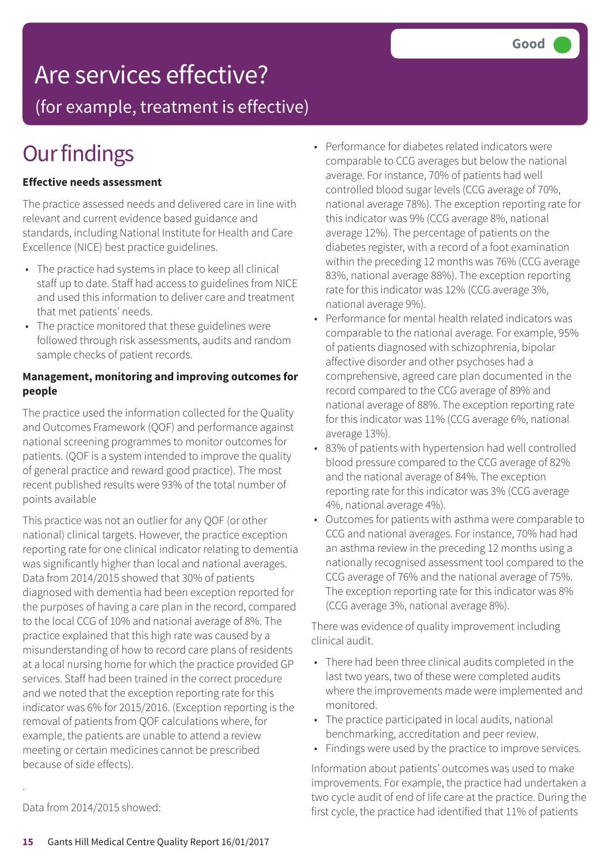# Are services effective?

(for example, treatment is effective)

# **Our findings**

#### **Effective needs assessment**

The practice assessed needs and delivered care in line with relevant and current evidence based guidance and standards, including National Institute for Health and Care Excellence (NICE) best practice guidelines.

- The practice had systems in place to keep all clinical staff up to date. Staff had access to guidelines from NICE and used this information to deliver care and treatment that met patients' needs.
- The practice monitored that these guidelines were followed through risk assessments, audits and random sample checks of patient records.

#### **Management, monitoring and improving outcomes for people**

The practice used the information collected for the Quality and Outcomes Framework (QOF) and performance against national screening programmes to monitor outcomes for patients. (QOF is a system intended to improve the quality of general practice and reward good practice). The most recent published results were 93% of the total number of points available

This practice was not an outlier for any QOF (or other national) clinical targets. However, the practice exception reporting rate for one clinical indicator relating to dementia was significantly higher than local and national averages. Data from 2014/2015 showed that 30% of patients diagnosed with dementia had been exception reported for the purposes of having a care plan in the record, compared to the local CCG of 10% and national average of 8%. The practice explained that this high rate was caused by a misunderstanding of how to record care plans of residents at a local nursing home for which the practice provided GP services. Staff had been trained in the correct procedure and we noted that the exception reporting rate for this indicator was 6% for 2015/2016. (Exception reporting is the removal of patients from QOF calculations where, for example, the patients are unable to attend a review meeting or certain medicines cannot be prescribed because of side effects).

- Performance for diabetes related indicators were comparable to CCG averages but below the national average. For instance, 70% of patients had well controlled blood sugar levels (CCG average of 70%, national average 78%). The exception reporting rate for this indicator was 9% (CCG average 8%, national average 12%). The percentage of patients on the diabetes register, with a record of a foot examination within the preceding 12 months was 76% (CCG average 83%, national average 88%). The exception reporting rate for this indicator was 12% (CCG average 3%, national average 9%).
- Performance for mental health related indicators was comparable to the national average. For example, 95% of patients diagnosed with schizophrenia, bipolar affective disorder and other psychoses had a comprehensive, agreed care plan documented in the record compared to the CCG average of 89% and national average of 88%. The exception reporting rate for this indicator was 11% (CCG average 6%, national average 13%).
- 83% of patients with hypertension had well controlled blood pressure compared to the CCG average of 82% and the national average of 84%. The exception reporting rate for this indicator was 3% (CCG average 4%, national average 4%).
- Outcomes for patients with asthma were comparable to CCG and national averages. For instance, 70% had had an asthma review in the preceding 12 months using a nationally recognised assessment tool compared to the CCG average of 76% and the national average of 75%. The exception reporting rate for this indicator was 8% (CCG average 3%, national average 8%).

There was evidence of quality improvement including clinical audit.

- There had been three clinical audits completed in the last two years, two of these were completed audits where the improvements made were implemented and monitored.
- The practice participated in local audits, national benchmarking, accreditation and peer review.
- Findings were used by the practice to improve services.

Information about patients' outcomes was used to make improvements. For example, the practice had undertaken a two cycle audit of end of life care at the practice. During the first cycle, the practice had identified that 11% of patients

Data from 2014/2015 showed:

.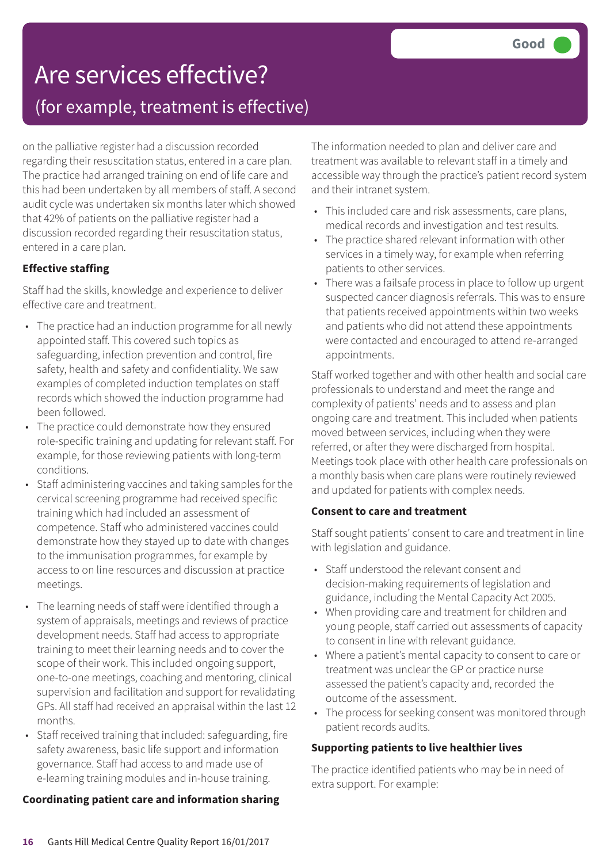# Are services effective? (for example, treatment is effective)

on the palliative register had a discussion recorded regarding their resuscitation status, entered in a care plan. The practice had arranged training on end of life care and this had been undertaken by all members of staff. A second audit cycle was undertaken six months later which showed that 42% of patients on the palliative register had a discussion recorded regarding their resuscitation status, entered in a care plan.

#### **Effective staffing**

Staff had the skills, knowledge and experience to deliver effective care and treatment.

- The practice had an induction programme for all newly appointed staff. This covered such topics as safeguarding, infection prevention and control, fire safety, health and safety and confidentiality. We saw examples of completed induction templates on staff records which showed the induction programme had been followed.
- The practice could demonstrate how they ensured role-specific training and updating for relevant staff. For example, for those reviewing patients with long-term conditions.
- Staff administering vaccines and taking samples for the cervical screening programme had received specific training which had included an assessment of competence. Staff who administered vaccines could demonstrate how they stayed up to date with changes to the immunisation programmes, for example by access to on line resources and discussion at practice meetings.
- The learning needs of staff were identified through a system of appraisals, meetings and reviews of practice development needs. Staff had access to appropriate training to meet their learning needs and to cover the scope of their work. This included ongoing support, one-to-one meetings, coaching and mentoring, clinical supervision and facilitation and support for revalidating GPs. All staff had received an appraisal within the last 12 months.
- Staff received training that included: safeguarding, fire safety awareness, basic life support and information governance. Staff had access to and made use of e-learning training modules and in-house training.

#### **Coordinating patient care and information sharing**

The information needed to plan and deliver care and treatment was available to relevant staff in a timely and accessible way through the practice's patient record system and their intranet system.

- This included care and risk assessments, care plans, medical records and investigation and test results.
- The practice shared relevant information with other services in a timely way, for example when referring patients to other services.
- There was a failsafe process in place to follow up urgent suspected cancer diagnosis referrals. This was to ensure that patients received appointments within two weeks and patients who did not attend these appointments were contacted and encouraged to attend re-arranged appointments.

Staff worked together and with other health and social care professionals to understand and meet the range and complexity of patients' needs and to assess and plan ongoing care and treatment. This included when patients moved between services, including when they were referred, or after they were discharged from hospital. Meetings took place with other health care professionals on a monthly basis when care plans were routinely reviewed and updated for patients with complex needs.

#### **Consent to care and treatment**

Staff sought patients' consent to care and treatment in line with legislation and guidance.

- Staff understood the relevant consent and decision-making requirements of legislation and guidance, including the Mental Capacity Act 2005.
- When providing care and treatment for children and young people, staff carried out assessments of capacity to consent in line with relevant guidance.
- Where a patient's mental capacity to consent to care or treatment was unclear the GP or practice nurse assessed the patient's capacity and, recorded the outcome of the assessment.
- The process for seeking consent was monitored through patient records audits.

#### **Supporting patients to live healthier lives**

The practice identified patients who may be in need of extra support. For example: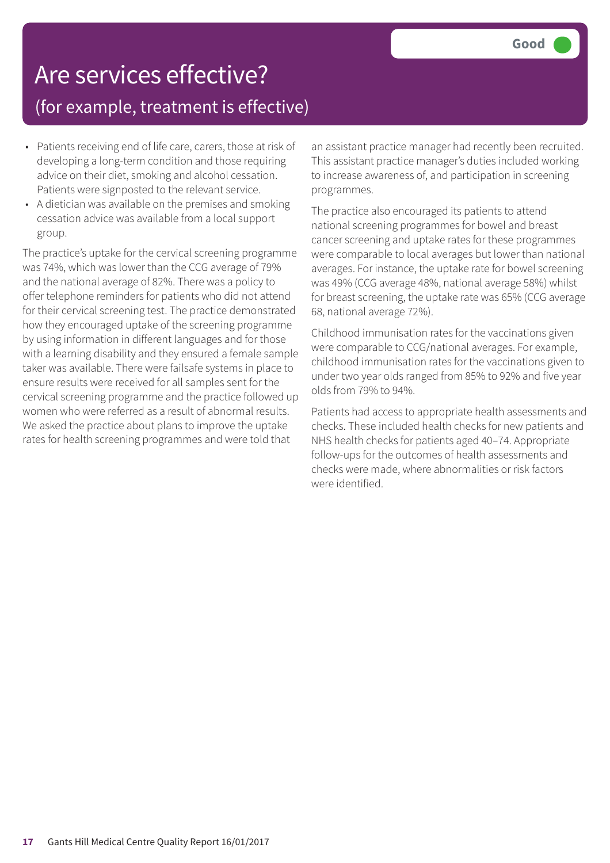## Are services effective? (for example, treatment is effective)

- Patients receiving end of life care, carers, those at risk of developing a long-term condition and those requiring advice on their diet, smoking and alcohol cessation. Patients were signposted to the relevant service.
- A dietician was available on the premises and smoking cessation advice was available from a local support group.

The practice's uptake for the cervical screening programme was 74%, which was lower than the CCG average of 79% and the national average of 82%. There was a policy to offer telephone reminders for patients who did not attend for their cervical screening test. The practice demonstrated how they encouraged uptake of the screening programme by using information in different languages and for those with a learning disability and they ensured a female sample taker was available. There were failsafe systems in place to ensure results were received for all samples sent for the cervical screening programme and the practice followed up women who were referred as a result of abnormal results. We asked the practice about plans to improve the uptake rates for health screening programmes and were told that

an assistant practice manager had recently been recruited. This assistant practice manager's duties included working to increase awareness of, and participation in screening programmes.

The practice also encouraged its patients to attend national screening programmes for bowel and breast cancer screening and uptake rates for these programmes were comparable to local averages but lower than national averages. For instance, the uptake rate for bowel screening was 49% (CCG average 48%, national average 58%) whilst for breast screening, the uptake rate was 65% (CCG average 68, national average 72%).

Childhood immunisation rates for the vaccinations given were comparable to CCG/national averages. For example, childhood immunisation rates for the vaccinations given to under two year olds ranged from 85% to 92% and five year olds from 79% to 94%.

Patients had access to appropriate health assessments and checks. These included health checks for new patients and NHS health checks for patients aged 40–74. Appropriate follow-ups for the outcomes of health assessments and checks were made, where abnormalities or risk factors were identified.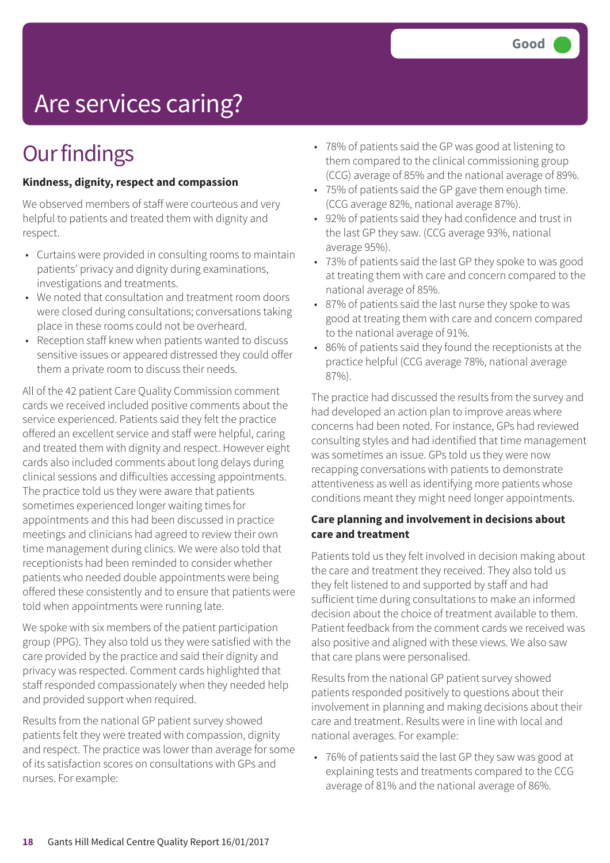# Are services caring?

# **Our findings**

#### **Kindness, dignity, respect and compassion**

We observed members of staff were courteous and very helpful to patients and treated them with dignity and respect.

- Curtains were provided in consulting rooms to maintain patients' privacy and dignity during examinations, investigations and treatments.
- We noted that consultation and treatment room doors were closed during consultations; conversations taking place in these rooms could not be overheard.
- Reception staff knew when patients wanted to discuss sensitive issues or appeared distressed they could offer them a private room to discuss their needs.

All of the 42 patient Care Quality Commission comment cards we received included positive comments about the service experienced. Patients said they felt the practice offered an excellent service and staff were helpful, caring and treated them with dignity and respect. However eight cards also included comments about long delays during clinical sessions and difficulties accessing appointments. The practice told us they were aware that patients sometimes experienced longer waiting times for appointments and this had been discussed in practice meetings and clinicians had agreed to review their own time management during clinics. We were also told that receptionists had been reminded to consider whether patients who needed double appointments were being offered these consistently and to ensure that patients were told when appointments were running late.

We spoke with six members of the patient participation group (PPG). They also told us they were satisfied with the care provided by the practice and said their dignity and privacy was respected. Comment cards highlighted that staff responded compassionately when they needed help and provided support when required.

Results from the national GP patient survey showed patients felt they were treated with compassion, dignity and respect. The practice was lower than average for some of its satisfaction scores on consultations with GPs and nurses. For example:

- 78% of patients said the GP was good at listening to them compared to the clinical commissioning group (CCG) average of 85% and the national average of 89%.
- 75% of patients said the GP gave them enough time. (CCG average 82%, national average 87%).
- 92% of patients said they had confidence and trust in the last GP they saw. (CCG average 93%, national average 95%).
- 73% of patients said the last GP they spoke to was good at treating them with care and concern compared to the national average of 85%.
- 87% of patients said the last nurse they spoke to was good at treating them with care and concern compared to the national average of 91%.
- 86% of patients said they found the receptionists at the practice helpful (CCG average 78%, national average 87%).

The practice had discussed the results from the survey and had developed an action plan to improve areas where concerns had been noted. For instance, GPs had reviewed consulting styles and had identified that time management was sometimes an issue. GPs told us they were now recapping conversations with patients to demonstrate attentiveness as well as identifying more patients whose conditions meant they might need longer appointments.

#### **Care planning and involvement in decisions about care and treatment**

Patients told us they felt involved in decision making about the care and treatment they received. They also told us they felt listened to and supported by staff and had sufficient time during consultations to make an informed decision about the choice of treatment available to them. Patient feedback from the comment cards we received was also positive and aligned with these views. We also saw that care plans were personalised.

Results from the national GP patient survey showed patients responded positively to questions about their involvement in planning and making decisions about their care and treatment. Results were in line with local and national averages. For example:

• 76% of patients said the last GP they saw was good at explaining tests and treatments compared to the CCG average of 81% and the national average of 86%.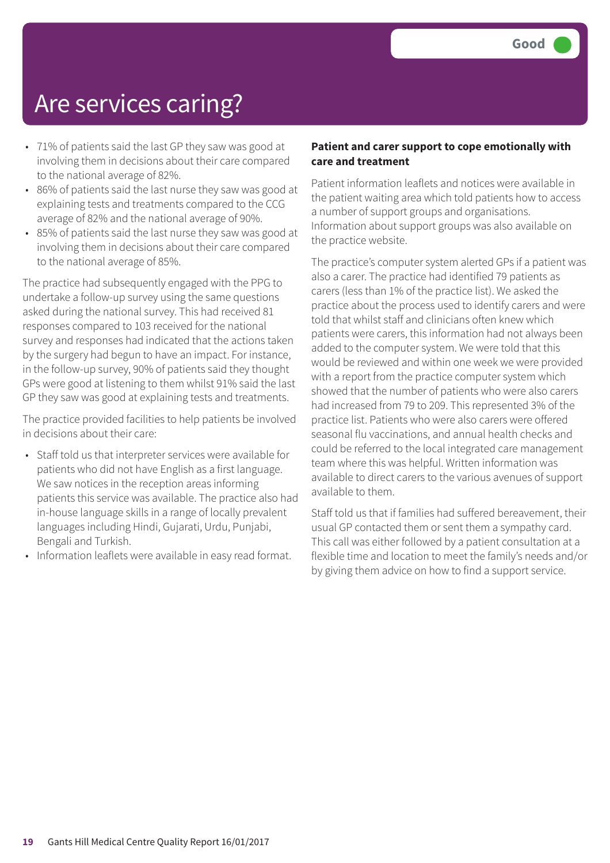## Are services caring?

- 71% of patients said the last GP they saw was good at involving them in decisions about their care compared to the national average of 82%.
- 86% of patients said the last nurse they saw was good at explaining tests and treatments compared to the CCG average of 82% and the national average of 90%.
- 85% of patients said the last nurse they saw was good at involving them in decisions about their care compared to the national average of 85%.

The practice had subsequently engaged with the PPG to undertake a follow-up survey using the same questions asked during the national survey. This had received 81 responses compared to 103 received for the national survey and responses had indicated that the actions taken by the surgery had begun to have an impact. For instance, in the follow-up survey, 90% of patients said they thought GPs were good at listening to them whilst 91% said the last GP they saw was good at explaining tests and treatments.

The practice provided facilities to help patients be involved in decisions about their care:

- Staff told us that interpreter services were available for patients who did not have English as a first language. We saw notices in the reception areas informing patients this service was available. The practice also had in-house language skills in a range of locally prevalent languages including Hindi, Gujarati, Urdu, Punjabi, Bengali and Turkish.
- Information leaflets were available in easy read format.

#### **Patient and carer support to cope emotionally with care and treatment**

Patient information leaflets and notices were available in the patient waiting area which told patients how to access a number of support groups and organisations. Information about support groups was also available on the practice website.

The practice's computer system alerted GPs if a patient was also a carer. The practice had identified 79 patients as carers (less than 1% of the practice list). We asked the practice about the process used to identify carers and were told that whilst staff and clinicians often knew which patients were carers, this information had not always been added to the computer system. We were told that this would be reviewed and within one week we were provided with a report from the practice computer system which showed that the number of patients who were also carers had increased from 79 to 209. This represented 3% of the practice list. Patients who were also carers were offered seasonal flu vaccinations, and annual health checks and could be referred to the local integrated care management team where this was helpful. Written information was available to direct carers to the various avenues of support available to them.

Staff told us that if families had suffered bereavement, their usual GP contacted them or sent them a sympathy card. This call was either followed by a patient consultation at a flexible time and location to meet the family's needs and/or by giving them advice on how to find a support service.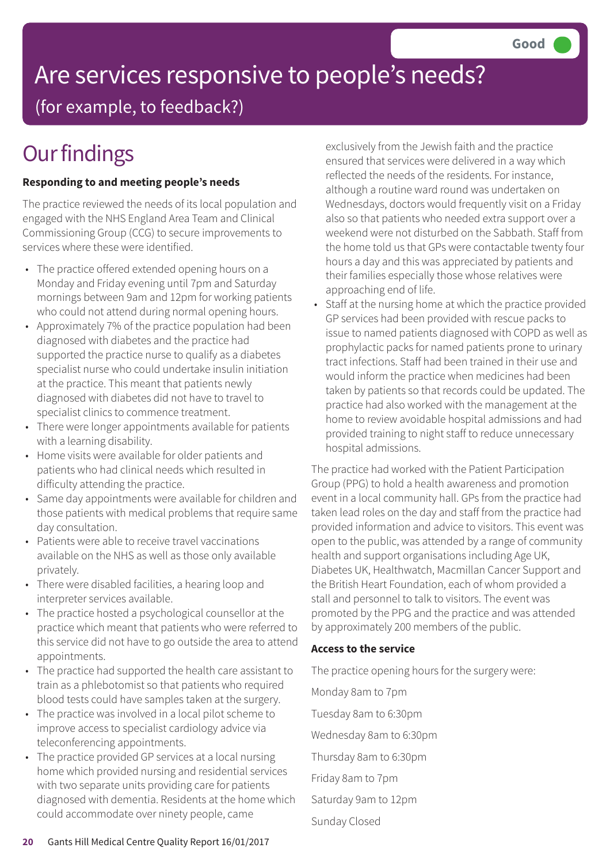# Are services responsive to people's needs?

(for example, to feedback?)

# **Our findings**

#### **Responding to and meeting people's needs**

The practice reviewed the needs of its local population and engaged with the NHS England Area Team and Clinical Commissioning Group (CCG) to secure improvements to services where these were identified.

- The practice offered extended opening hours on a Monday and Friday evening until 7pm and Saturday mornings between 9am and 12pm for working patients who could not attend during normal opening hours.
- Approximately 7% of the practice population had been diagnosed with diabetes and the practice had supported the practice nurse to qualify as a diabetes specialist nurse who could undertake insulin initiation at the practice. This meant that patients newly diagnosed with diabetes did not have to travel to specialist clinics to commence treatment.
- There were longer appointments available for patients with a learning disability.
- Home visits were available for older patients and patients who had clinical needs which resulted in difficulty attending the practice.
- Same day appointments were available for children and those patients with medical problems that require same day consultation.
- Patients were able to receive travel vaccinations available on the NHS as well as those only available privately.
- There were disabled facilities, a hearing loop and interpreter services available.
- The practice hosted a psychological counsellor at the practice which meant that patients who were referred to this service did not have to go outside the area to attend appointments.
- The practice had supported the health care assistant to train as a phlebotomist so that patients who required blood tests could have samples taken at the surgery.
- The practice was involved in a local pilot scheme to improve access to specialist cardiology advice via teleconferencing appointments.
- The practice provided GP services at a local nursing home which provided nursing and residential services with two separate units providing care for patients diagnosed with dementia. Residents at the home which could accommodate over ninety people, came

exclusively from the Jewish faith and the practice ensured that services were delivered in a way which reflected the needs of the residents. For instance, although a routine ward round was undertaken on Wednesdays, doctors would frequently visit on a Friday also so that patients who needed extra support over a weekend were not disturbed on the Sabbath. Staff from the home told us that GPs were contactable twenty four hours a day and this was appreciated by patients and their families especially those whose relatives were approaching end of life.

• Staff at the nursing home at which the practice provided GP services had been provided with rescue packs to issue to named patients diagnosed with COPD as well as prophylactic packs for named patients prone to urinary tract infections. Staff had been trained in their use and would inform the practice when medicines had been taken by patients so that records could be updated. The practice had also worked with the management at the home to review avoidable hospital admissions and had provided training to night staff to reduce unnecessary hospital admissions.

The practice had worked with the Patient Participation Group (PPG) to hold a health awareness and promotion event in a local community hall. GPs from the practice had taken lead roles on the day and staff from the practice had provided information and advice to visitors. This event was open to the public, was attended by a range of community health and support organisations including Age UK, Diabetes UK, Healthwatch, Macmillan Cancer Support and the British Heart Foundation, each of whom provided a stall and personnel to talk to visitors. The event was promoted by the PPG and the practice and was attended by approximately 200 members of the public.

#### **Access to the service**

The practice opening hours for the surgery were:

Monday 8am to 7pm Tuesday 8am to 6:30pm Wednesday 8am to 6:30pm Thursday 8am to 6:30pm Friday 8am to 7pm Saturday 9am to 12pm

Sunday Closed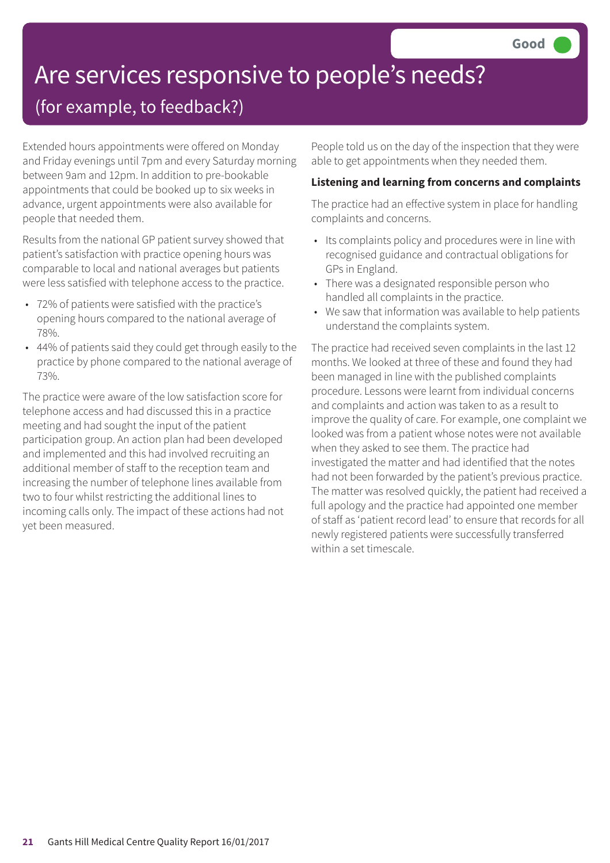# Are services responsive to people's needs?

### (for example, to feedback?)

Extended hours appointments were offered on Monday and Friday evenings until 7pm and every Saturday morning between 9am and 12pm. In addition to pre-bookable appointments that could be booked up to six weeks in advance, urgent appointments were also available for people that needed them.

Results from the national GP patient survey showed that patient's satisfaction with practice opening hours was comparable to local and national averages but patients were less satisfied with telephone access to the practice.

- 72% of patients were satisfied with the practice's opening hours compared to the national average of 78%.
- 44% of patients said they could get through easily to the practice by phone compared to the national average of 73%.

The practice were aware of the low satisfaction score for telephone access and had discussed this in a practice meeting and had sought the input of the patient participation group. An action plan had been developed and implemented and this had involved recruiting an additional member of staff to the reception team and increasing the number of telephone lines available from two to four whilst restricting the additional lines to incoming calls only. The impact of these actions had not yet been measured.

People told us on the day of the inspection that they were able to get appointments when they needed them.

#### **Listening and learning from concerns and complaints**

The practice had an effective system in place for handling complaints and concerns.

- Its complaints policy and procedures were in line with recognised guidance and contractual obligations for GPs in England.
- There was a designated responsible person who handled all complaints in the practice.
- We saw that information was available to help patients understand the complaints system.

The practice had received seven complaints in the last 12 months. We looked at three of these and found they had been managed in line with the published complaints procedure. Lessons were learnt from individual concerns and complaints and action was taken to as a result to improve the quality of care. For example, one complaint we looked was from a patient whose notes were not available when they asked to see them. The practice had investigated the matter and had identified that the notes had not been forwarded by the patient's previous practice. The matter was resolved quickly, the patient had received a full apology and the practice had appointed one member of staff as 'patient record lead' to ensure that records for all newly registered patients were successfully transferred within a set timescale.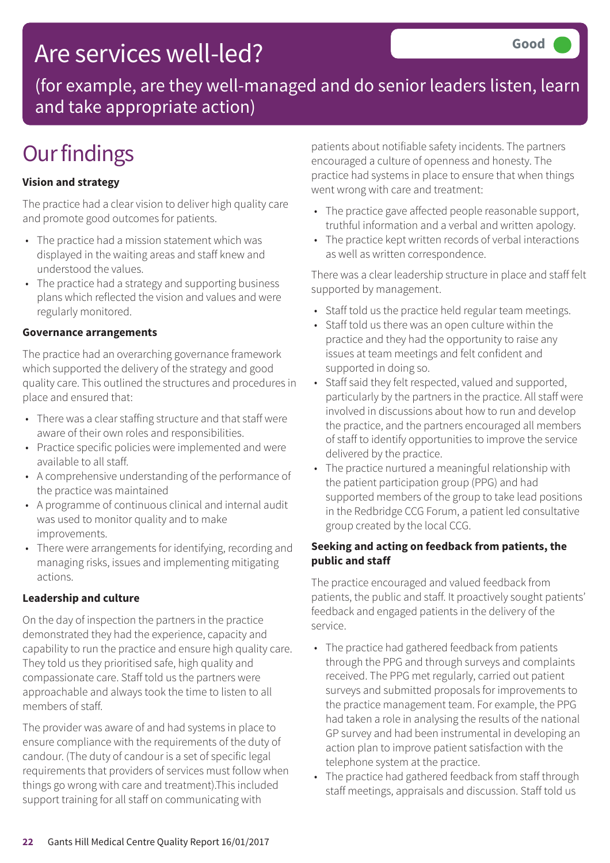## Are services well-led?

(for example, are they well-managed and do senior leaders listen, learn and take appropriate action)

# **Our findings**

#### **Vision and strategy**

The practice had a clear vision to deliver high quality care and promote good outcomes for patients.

- The practice had a mission statement which was displayed in the waiting areas and staff knew and understood the values.
- The practice had a strategy and supporting business plans which reflected the vision and values and were regularly monitored.

#### **Governance arrangements**

The practice had an overarching governance framework which supported the delivery of the strategy and good quality care. This outlined the structures and procedures in place and ensured that:

- There was a clear staffing structure and that staff were aware of their own roles and responsibilities.
- Practice specific policies were implemented and were available to all staff.
- A comprehensive understanding of the performance of the practice was maintained
- A programme of continuous clinical and internal audit was used to monitor quality and to make improvements.
- There were arrangements for identifying, recording and managing risks, issues and implementing mitigating actions.

#### **Leadership and culture**

On the day of inspection the partners in the practice demonstrated they had the experience, capacity and capability to run the practice and ensure high quality care. They told us they prioritised safe, high quality and compassionate care. Staff told us the partners were approachable and always took the time to listen to all members of staff.

The provider was aware of and had systems in place to ensure compliance with the requirements of the duty of candour. (The duty of candour is a set of specific legal requirements that providers of services must follow when things go wrong with care and treatment).This included support training for all staff on communicating with

patients about notifiable safety incidents. The partners encouraged a culture of openness and honesty. The practice had systems in place to ensure that when things went wrong with care and treatment:

- The practice gave affected people reasonable support, truthful information and a verbal and written apology.
- The practice kept written records of verbal interactions as well as written correspondence.

There was a clear leadership structure in place and staff felt supported by management.

- Staff told us the practice held regular team meetings.
- Staff told us there was an open culture within the practice and they had the opportunity to raise any issues at team meetings and felt confident and supported in doing so.
- Staff said they felt respected, valued and supported, particularly by the partners in the practice. All staff were involved in discussions about how to run and develop the practice, and the partners encouraged all members of staff to identify opportunities to improve the service delivered by the practice.
- The practice nurtured a meaningful relationship with the patient participation group (PPG) and had supported members of the group to take lead positions in the Redbridge CCG Forum, a patient led consultative group created by the local CCG.

#### **Seeking and acting on feedback from patients, the public and staff**

The practice encouraged and valued feedback from patients, the public and staff. It proactively sought patients' feedback and engaged patients in the delivery of the service.

- The practice had gathered feedback from patients through the PPG and through surveys and complaints received. The PPG met regularly, carried out patient surveys and submitted proposals for improvements to the practice management team. For example, the PPG had taken a role in analysing the results of the national GP survey and had been instrumental in developing an action plan to improve patient satisfaction with the telephone system at the practice.
- The practice had gathered feedback from staff through staff meetings, appraisals and discussion. Staff told us